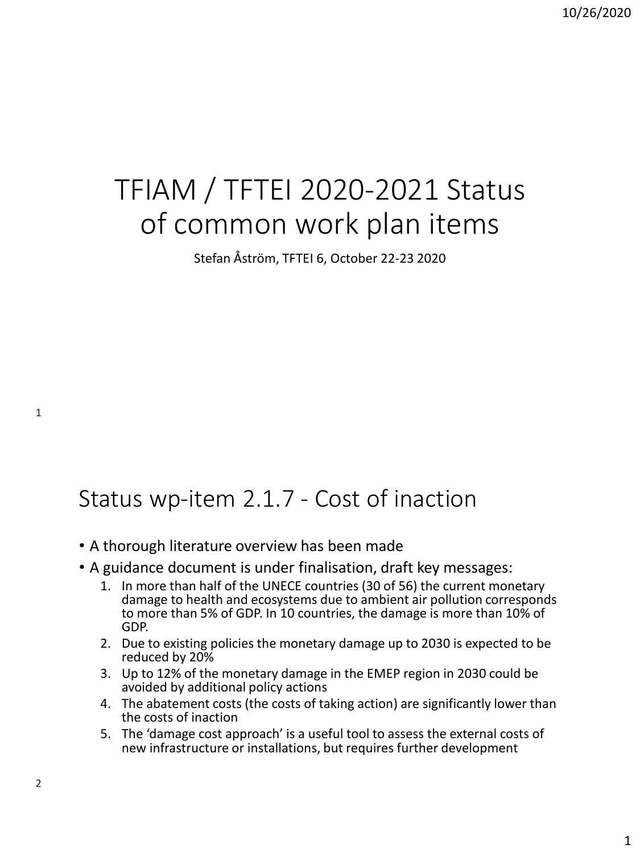## TFIAM / TFTEI 2020-2021 Status of common work plan items

Stefan Åström, TFTEI 6, October 22-23 2020

## Status wp-item 2.1.7 - Cost of inaction

- A thorough literature overview has been made
- A guidance document is under finalisation, draft key messages:
	- 1. In more than half of the UNECE countries (30 of 56) the current monetary damage to health and ecosystems due to ambient air pollution corresponds to more than 5% of GDP. In 10 countries, the damage is more than 10% of GDP.
	- 2. Due to existing policies the monetary damage up to 2030 is expected to be reduced by 20%
	- 3. Up to 12% of the monetary damage in the EMEP region in 2030 could be avoided by additional policy actions
	- 4. The abatement costs (the costs of taking action) are significantly lower than the costs of inaction
	- 5. The 'damage cost approach' is a useful tool to assess the external costs of new infrastructure or installations, but requires further development